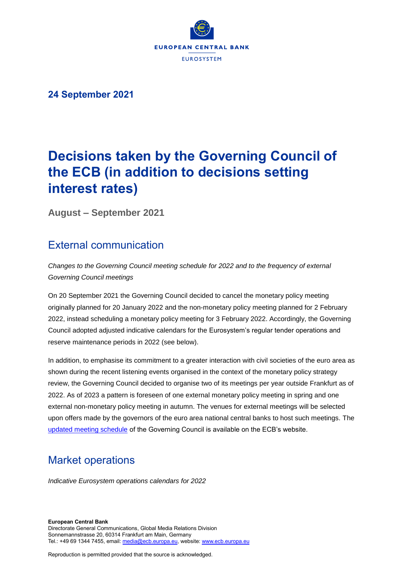

**24 September 2021**

# **Decisions taken by the Governing Council of the ECB (in addition to decisions setting interest rates)**

**August – September 2021**

### External communication

*Changes to the Governing Council meeting schedule for 2022 and to the frequency of external Governing Council meetings*

On 20 September 2021 the Governing Council decided to cancel the monetary policy meeting originally planned for 20 January 2022 and the non-monetary policy meeting planned for 2 February 2022, instead scheduling a monetary policy meeting for 3 February 2022. Accordingly, the Governing Council adopted adjusted indicative calendars for the Eurosystem's regular tender operations and reserve maintenance periods in 2022 (see below).

In addition, to emphasise its commitment to a greater interaction with civil societies of the euro area as shown during the recent listening events organised in the context of the monetary policy strategy review, the Governing Council decided to organise two of its meetings per year outside Frankfurt as of 2022. As of 2023 a pattern is foreseen of one external monetary policy meeting in spring and one external non-monetary policy meeting in autumn. The venues for external meetings will be selected upon offers made by the governors of the euro area national central banks to host such meetings. The [updated meeting schedule](https://www.ecb.europa.eu/press/calendars/mgcgc/html/index.en.html) of the Governing Council is available on the ECB's website.

### Market operations

*Indicative Eurosystem operations calendars for 2022* 

Reproduction is permitted provided that the source is acknowledged.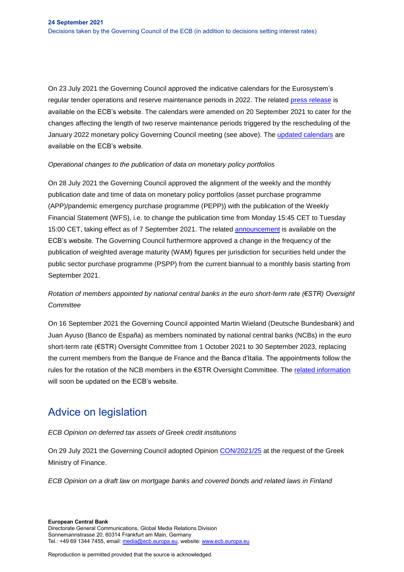On 23 July 2021 the Governing Council approved the indicative calendars for the Eurosystem's regular tender operations and reserve maintenance periods in 2022. The related [press release](https://www.ecb.europa.eu/press/pr/date/2021/html/ecb.pr210723_2~239a7dab27.en.html) is available on the ECB's website. The calendars were amended on 20 September 2021 to cater for the changes affecting the length of two reserve maintenance periods triggered by the rescheduling of the January 2022 monetary policy Governing Council meeting (see above). The [updated calendars](https://www.ecb.europa.eu/press/pr/date/2021/html/ecb.pr210723_2~239a7dab27.en.html) are available on the ECB's website.

#### *Operational changes to the publication of data on monetary policy portfolios*

On 28 July 2021 the Governing Council approved the alignment of the weekly and the monthly publication date and time of data on monetary policy portfolios (asset purchase programme (APP)/pandemic emergency purchase programme (PEPP)) with the publication of the Weekly Financial Statement (WFS), i.e. to change the publication time from Monday 15:45 CET to Tuesday 15:00 CET, taking effect as of 7 September 2021. The related [announcement](https://www.ecb.europa.eu/mopo/implement/omo/html/communication.en.html) is available on the ECB's website. The Governing Council furthermore approved a change in the frequency of the publication of weighted average maturity (WAM) figures per jurisdiction for securities held under the public sector purchase programme (PSPP) from the current biannual to a monthly basis starting from September 2021.

### *Rotation of members appointed by national central banks in the euro short-term rate (€STR) Oversight Committee*

On 16 September 2021 the Governing Council appointed Martin Wieland (Deutsche Bundesbank) and Juan Ayuso (Banco de España) as members nominated by national central banks (NCBs) in the euro short-term rate (€STR) Oversight Committee from 1 October 2021 to 30 September 2023, replacing the current members from the Banque de France and the Banca d'Italia. The appointments follow the rules for the rotation of the NCB members in the €STR Oversight Committee. The [related information](https://www.ecb.europa.eu/stats/financial_markets_and_interest_rates/euro_short-term_rate/html/eurostr_oversight.en.html) will soon be updated on the ECB's website.

### Advice on legislation

#### *ECB Opinion on deferred tax assets of Greek credit institutions*

On 29 July 2021 the Governing Council adopted Opinion [CON/2021/25](https://eur-lex.europa.eu/legal-content/EN/TXT/?uri=CELEX%3A52021AB0025&qid=1631293868439) at the request of the Greek Ministry of Finance.

*ECB Opinion on a draft law on mortgage banks and covered bonds and related laws in Finland*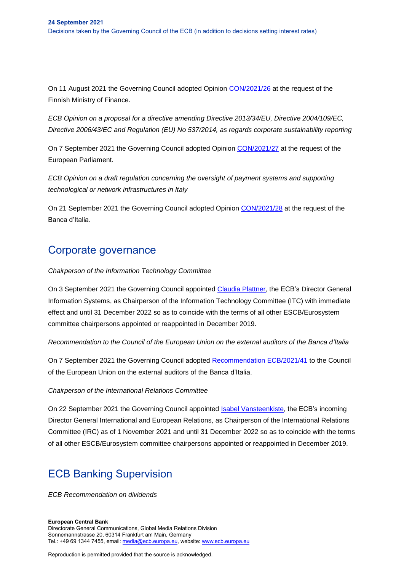On 11 August 2021 the Governing Council adopted Opinion [CON/2021/26](https://eur-lex.europa.eu/legal-content/EN/TXT/?uri=CELEX%3A52021AB0026) at the request of the Finnish Ministry of Finance.

*ECB Opinion on a proposal for a directive amending Directive 2013/34/EU, Directive 2004/109/EC, Directive 2006/43/EC and Regulation (EU) No 537/2014, as regards corporate sustainability reporting* 

On 7 September 2021 the Governing Council adopted Opinion [CON/2021/27](https://www.ecb.europa.eu/pub/pdf/other/en_con_2021_27_f_sign~f10c2b1e66..pdf?eda0a763f766c37fdc8f598f1a0fd2ce) at the request of the European Parliament.

*ECB Opinion on a draft regulation concerning the oversight of payment systems and supporting technological or network infrastructures in Italy*

On 21 September 2021 the Governing Council adopted Opinion [CON/2021/28](https://eur-lex.europa.eu/legal-content/EN/TXT/?uri=CELEX%3A52021AB0028) at the request of the Banca d'Italia.

### Corporate governance

#### *Chairperson of the Information Technology Committee*

On 3 September 2021 the Governing Council appointed [Claudia Plattner,](https://www.ecb.europa.eu/press/pr/date/2021/html/ecb.pr210108~1f1a28a8e3.en.html) the ECB's Director General Information Systems, as Chairperson of the Information Technology Committee (ITC) with immediate effect and until 31 December 2022 so as to coincide with the terms of all other ESCB/Eurosystem committee chairpersons appointed or reappointed in December 2019.

*Recommendation to the Council of the European Union on the external auditors of the Banca d'Italia*

On 7 September 2021 the Governing Council adopted [Recommendation ECB/2021/41](https://eur-lex.europa.eu/legal-content/EN/TXT/?uri=OJ%3AJOC_2021_370_R_0001) to the Council of the European Union on the external auditors of the Banca d'Italia.

#### *Chairperson of the International Relations Committee*

On 22 September 2021 the Governing Council appointed [Isabel Vansteenkiste,](https://www.ecb.europa.eu/press/pr/date/2021/html/ecb.pr210913~38e5cf95d7.en.html) the ECB's incoming Director General International and European Relations, as Chairperson of the International Relations Committee (IRC) as of 1 November 2021 and until 31 December 2022 so as to coincide with the terms of all other ESCB/Eurosystem committee chairpersons appointed or reappointed in December 2019.

## ECB Banking Supervision

*ECB Recommendation on dividends*

#### **European Central Bank**

Directorate General Communications, Global Media Relations Division Sonnemannstrasse 20, 60314 Frankfurt am Main, Germany Tel.: +49 69 1344 7455, email[: media@ecb.europa.eu,](mailto:media@ecb.europa.eu) website[: www.ecb.europa.eu](http://www.ecb.europa.eu/)

Reproduction is permitted provided that the source is acknowledged.